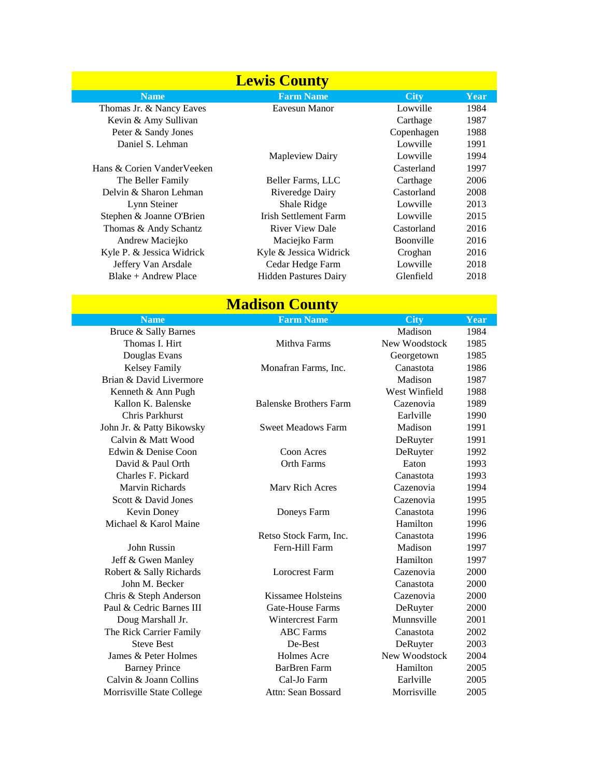| <b>Lewis County</b>        |                              |                  |      |  |
|----------------------------|------------------------------|------------------|------|--|
| <b>Name</b>                | <b>Farm Name</b>             | <b>City</b>      | Year |  |
| Thomas Jr. & Nancy Eaves   | Eavesun Manor                | Lowville         | 1984 |  |
| Kevin & Amy Sullivan       |                              | Carthage         | 1987 |  |
| Peter & Sandy Jones        |                              | Copenhagen       | 1988 |  |
| Daniel S. Lehman           |                              | Lowville         | 1991 |  |
|                            | Mapleview Dairy              | Lowville         | 1994 |  |
| Hans & Corien VanderVeeken |                              | Casterland       | 1997 |  |
| The Beller Family          | Beller Farms, LLC            | Carthage         | 2006 |  |
| Delvin & Sharon Lehman     | Riveredge Dairy              | Castorland       | 2008 |  |
| Lynn Steiner               | Shale Ridge                  | Lowville         | 2013 |  |
| Stephen & Joanne O'Brien   | <b>Irish Settlement Farm</b> | Lowville         | 2015 |  |
| Thomas & Andy Schantz      | <b>River View Dale</b>       | Castorland       | 2016 |  |
| Andrew Maciejko            | Maciejko Farm                | <b>Boonville</b> | 2016 |  |
| Kyle P. & Jessica Widrick  | Kyle & Jessica Widrick       | Croghan          | 2016 |  |
| Jeffery Van Arsdale        | Cedar Hedge Farm             | Lowville         | 2018 |  |
| $Blacke + Andrew Place$    | <b>Hidden Pastures Dairy</b> | Glenfield        | 2018 |  |

| <b>Madison County</b>     |                               |               |      |  |  |
|---------------------------|-------------------------------|---------------|------|--|--|
| <b>Name</b>               | <b>Farm Name</b>              | <b>City</b>   | Year |  |  |
| Bruce & Sally Barnes      |                               | Madison       | 1984 |  |  |
| Thomas I. Hirt            | Mithva Farms                  | New Woodstock | 1985 |  |  |
| Douglas Evans             |                               | Georgetown    | 1985 |  |  |
| <b>Kelsey Family</b>      | Monafran Farms, Inc.          | Canastota     | 1986 |  |  |
| Brian & David Livermore   |                               | Madison       | 1987 |  |  |
| Kenneth & Ann Pugh        |                               | West Winfield | 1988 |  |  |
| Kallon K. Balenske        | <b>Balenske Brothers Farm</b> | Cazenovia     | 1989 |  |  |
| Chris Parkhurst           |                               | Earlville     | 1990 |  |  |
| John Jr. & Patty Bikowsky | <b>Sweet Meadows Farm</b>     | Madison       | 1991 |  |  |
| Calvin & Matt Wood        |                               | DeRuyter      | 1991 |  |  |
| Edwin & Denise Coon       | Coon Acres                    | DeRuyter      | 1992 |  |  |
| David & Paul Orth         | <b>Orth Farms</b>             | Eaton         | 1993 |  |  |
| Charles F. Pickard        |                               | Canastota     | 1993 |  |  |
| Marvin Richards           | Mary Rich Acres               | Cazenovia     | 1994 |  |  |
| Scott & David Jones       |                               | Cazenovia     | 1995 |  |  |
| Kevin Doney               | Doneys Farm                   | Canastota     | 1996 |  |  |
| Michael & Karol Maine     |                               | Hamilton      | 1996 |  |  |
|                           | Retso Stock Farm, Inc.        | Canastota     | 1996 |  |  |
| John Russin               | Fern-Hill Farm                | Madison       | 1997 |  |  |
| Jeff & Gwen Manley        |                               | Hamilton      | 1997 |  |  |
| Robert & Sally Richards   | <b>Lorocrest Farm</b>         | Cazenovia     | 2000 |  |  |
| John M. Becker            |                               | Canastota     | 2000 |  |  |
| Chris & Steph Anderson    | Kissamee Holsteins            | Cazenovia     | 2000 |  |  |

Paul & Cedric Barnes III Gate-House Farms DeRuyter 2000 Doug Marshall Jr. Wintercrest Farm Munnsville 2001 The Rick Carrier Family **ABC Farms** Canastota 2002 Steve Best De-Best De-Best DeRuyter 2003 James & Peter Holmes **Holmes Acre** New Woodstock 2004 Barney Prince **Barnes Barnes Barnes Hamilton** 2005 Calvin & Joann Collins Cal-Jo Farm Earlville 2005

Morrisville State College Attn: Sean Bossard Morrisville 2005